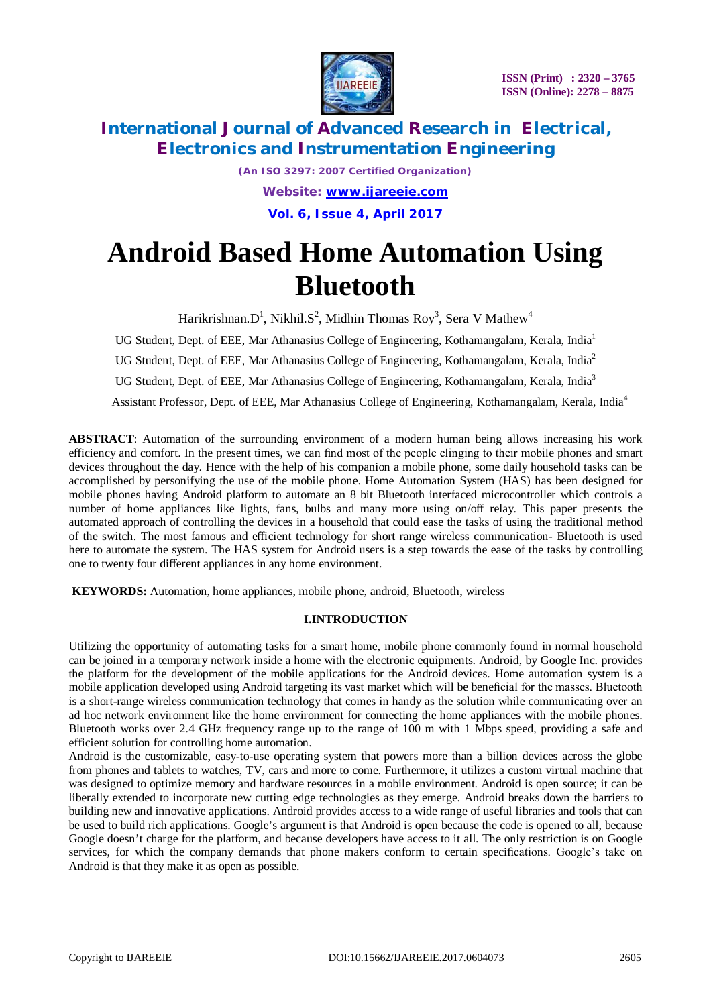

*(An ISO 3297: 2007 Certified Organization) Website: [www.ijareeie.com](http://www.ijareeie.com)* **Vol. 6, Issue 4, April 2017**

# **Android Based Home Automation Using Bluetooth**

Harikrishnan. $D^1$ , Nikhil. $S^2$ , Midhin Thomas Roy<sup>3</sup>, Sera V Mathew<sup>4</sup>

UG Student, Dept. of EEE, Mar Athanasius College of Engineering, Kothamangalam, Kerala, India<sup>1</sup> UG Student, Dept. of EEE, Mar Athanasius College of Engineering, Kothamangalam, Kerala, India<sup>2</sup> UG Student, Dept. of EEE, Mar Athanasius College of Engineering, Kothamangalam, Kerala, India<sup>3</sup> Assistant Professor, Dept. of EEE, Mar Athanasius College of Engineering, Kothamangalam, Kerala, India<sup>4</sup>

**ABSTRACT**: Automation of the surrounding environment of a modern human being allows increasing his work efficiency and comfort. In the present times, we can find most of the people clinging to their mobile phones and smart devices throughout the day. Hence with the help of his companion a mobile phone, some daily household tasks can be accomplished by personifying the use of the mobile phone. Home Automation System (HAS) has been designed for mobile phones having Android platform to automate an 8 bit Bluetooth interfaced microcontroller which controls a number of home appliances like lights, fans, bulbs and many more using on/off relay. This paper presents the automated approach of controlling the devices in a household that could ease the tasks of using the traditional method of the switch. The most famous and efficient technology for short range wireless communication- Bluetooth is used here to automate the system. The HAS system for Android users is a step towards the ease of the tasks by controlling one to twenty four different appliances in any home environment.

**KEYWORDS:** Automation, home appliances, mobile phone, android, Bluetooth, wireless

### **I.INTRODUCTION**

Utilizing the opportunity of automating tasks for a smart home, mobile phone commonly found in normal household can be joined in a temporary network inside a home with the electronic equipments. Android, by Google Inc. provides the platform for the development of the mobile applications for the Android devices. Home automation system is a mobile application developed using Android targeting its vast market which will be beneficial for the masses. Bluetooth is a short-range wireless communication technology that comes in handy as the solution while communicating over an ad hoc network environment like the home environment for connecting the home appliances with the mobile phones. Bluetooth works over 2.4 GHz frequency range up to the range of 100 m with 1 Mbps speed, providing a safe and efficient solution for controlling home automation.

Android is the customizable, easy-to-use operating system that powers more than a billion devices across the globe from phones and tablets to watches, TV, cars and more to come. Furthermore, it utilizes a custom virtual machine that was designed to optimize memory and hardware resources in a mobile environment. Android is open source; it can be liberally extended to incorporate new cutting edge technologies as they emerge. Android breaks down the barriers to building new and innovative applications. Android provides access to a wide range of useful libraries and tools that can be used to build rich applications. Google's argument is that Android is open because the code is opened to all, because Google doesn't charge for the platform, and because developers have access to it all. The only restriction is on Google services, for which the company demands that phone makers conform to certain specifications. Google's take on Android is that they make it as open as possible.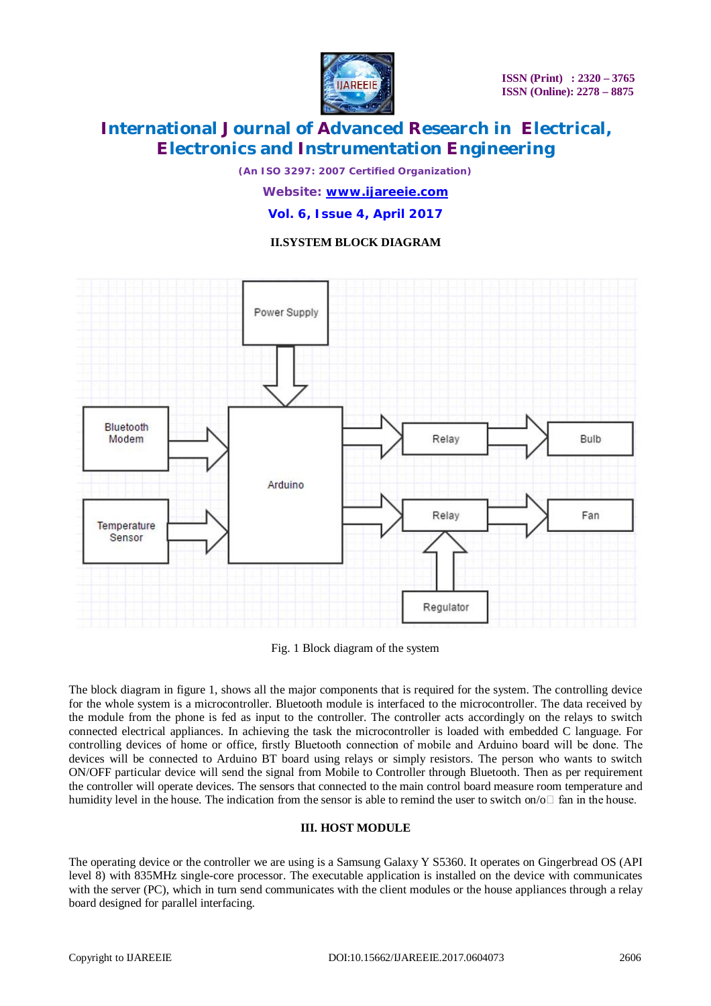

*(An ISO 3297: 2007 Certified Organization)*

*Website: [www.ijareeie.com](http://www.ijareeie.com)* **Vol. 6, Issue 4, April 2017**

### **II.SYSTEM BLOCK DIAGRAM**



Fig. 1 Block diagram of the system

The block diagram in figure 1, shows all the major components that is required for the system. The controlling device for the whole system is a microcontroller. Bluetooth module is interfaced to the microcontroller. The data received by the module from the phone is fed as input to the controller. The controller acts accordingly on the relays to switch connected electrical appliances. In achieving the task the microcontroller is loaded with embedded C language. For controlling devices of home or office, firstly Bluetooth connection of mobile and Arduino board will be done. The devices will be connected to Arduino BT board using relays or simply resistors. The person who wants to switch ON/OFF particular device will send the signal from Mobile to Controller through Bluetooth. Then as per requirement the controller will operate devices. The sensors that connected to the main control board measure room temperature and humidity level in the house. The indication from the sensor is able to remind the user to switch on/o $\Box$  fan in the house.

### **III. HOST MODULE**

The operating device or the controller we are using is a Samsung Galaxy Y S5360. It operates on Gingerbread OS (API level 8) with 835MHz single-core processor. The executable application is installed on the device with communicates with the server (PC), which in turn send communicates with the client modules or the house appliances through a relay board designed for parallel interfacing.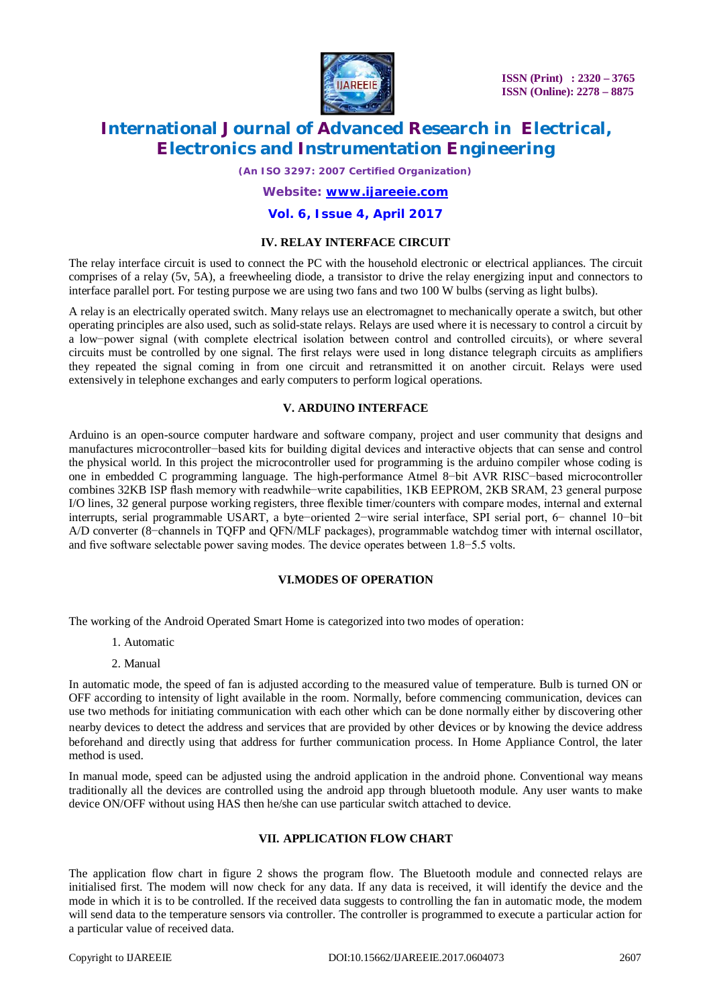

**ISSN (Print) : 2320 – 3765 ISSN (Online): 2278 – 8875**

# **International Journal of Advanced Research in Electrical, Electronics and Instrumentation Engineering**

*(An ISO 3297: 2007 Certified Organization)*

## *Website: [www.ijareeie.com](http://www.ijareeie.com)* **Vol. 6, Issue 4, April 2017**

#### **IV. RELAY INTERFACE CIRCUIT**

The relay interface circuit is used to connect the PC with the household electronic or electrical appliances. The circuit comprises of a relay (5v, 5A), a freewheeling diode, a transistor to drive the relay energizing input and connectors to interface parallel port. For testing purpose we are using two fans and two 100 W bulbs (serving as light bulbs).

A relay is an electrically operated switch. Many relays use an electromagnet to mechanically operate a switch, but other operating principles are also used, such as solid-state relays. Relays are used where it is necessary to control a circuit by a low−power signal (with complete electrical isolation between control and controlled circuits), or where several circuits must be controlled by one signal. The first relays were used in long distance telegraph circuits as amplifiers they repeated the signal coming in from one circuit and retransmitted it on another circuit. Relays were used extensively in telephone exchanges and early computers to perform logical operations.

#### **V. ARDUINO INTERFACE**

Arduino is an open-source computer hardware and software company, project and user community that designs and manufactures microcontroller−based kits for building digital devices and interactive objects that can sense and control the physical world. In this project the microcontroller used for programming is the arduino compiler whose coding is one in embedded C programming language. The high-performance Atmel 8−bit AVR RISC−based microcontroller combines 32KB ISP flash memory with readwhile−write capabilities, 1KB EEPROM, 2KB SRAM, 23 general purpose I/O lines, 32 general purpose working registers, three flexible timer/counters with compare modes, internal and external interrupts, serial programmable USART, a byte−oriented 2−wire serial interface, SPI serial port, 6− channel 10−bit A/D converter (8−channels in TQFP and QFN/MLF packages), programmable watchdog timer with internal oscillator, and five software selectable power saving modes. The device operates between 1.8−5.5 volts.

#### **VI.MODES OF OPERATION**

The working of the Android Operated Smart Home is categorized into two modes of operation:

- 1. Automatic
- 2. Manual

In automatic mode, the speed of fan is adjusted according to the measured value of temperature. Bulb is turned ON or OFF according to intensity of light available in the room. Normally, before commencing communication, devices can use two methods for initiating communication with each other which can be done normally either by discovering other nearby devices to detect the address and services that are provided by other devices or by knowing the device address beforehand and directly using that address for further communication process. In Home Appliance Control, the later method is used.

In manual mode, speed can be adjusted using the android application in the android phone. Conventional way means traditionally all the devices are controlled using the android app through bluetooth module. Any user wants to make device ON/OFF without using HAS then he/she can use particular switch attached to device.

### **VII. APPLICATION FLOW CHART**

The application flow chart in figure 2 shows the program flow. The Bluetooth module and connected relays are initialised first. The modem will now check for any data. If any data is received, it will identify the device and the mode in which it is to be controlled. If the received data suggests to controlling the fan in automatic mode, the modem will send data to the temperature sensors via controller. The controller is programmed to execute a particular action for a particular value of received data.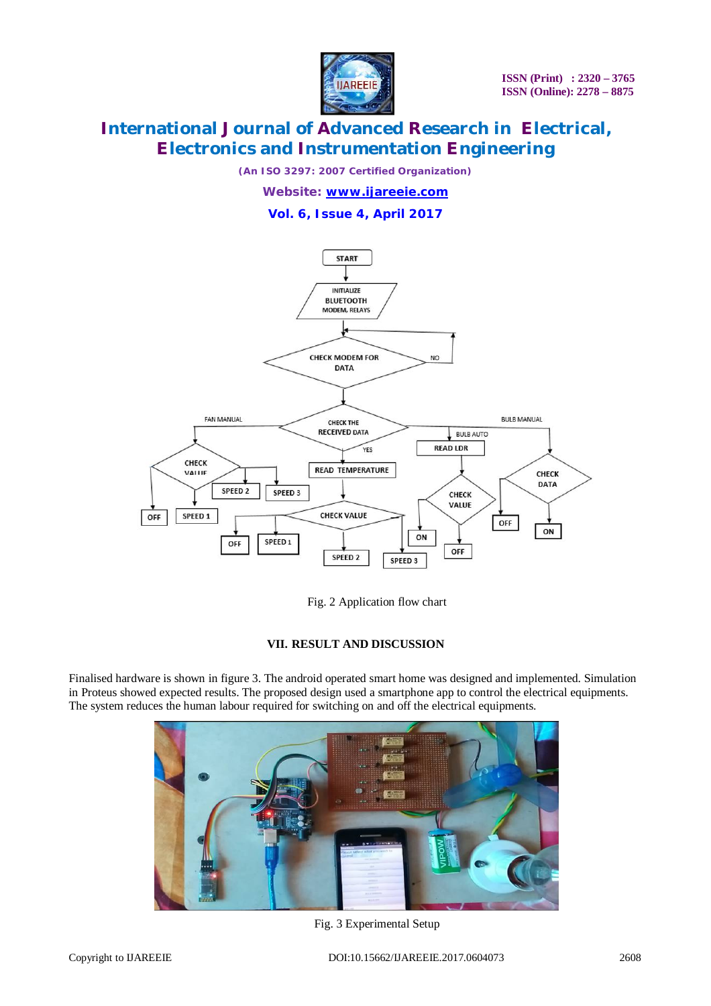

*(An ISO 3297: 2007 Certified Organization)*

*Website: [www.ijareeie.com](http://www.ijareeie.com)* **Vol. 6, Issue 4, April 2017**



Fig. 2 Application flow chart

### **VII. RESULT AND DISCUSSION**

Finalised hardware is shown in figure 3. The android operated smart home was designed and implemented. Simulation in Proteus showed expected results. The proposed design used a smartphone app to control the electrical equipments. The system reduces the human labour required for switching on and off the electrical equipments.



Fig. 3 Experimental Setup